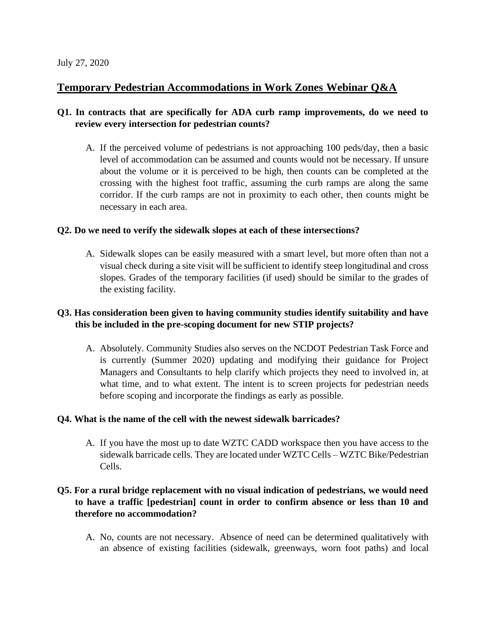# **Temporary Pedestrian Accommodations in Work Zones Webinar Q&A**

### **Q1. In contracts that are specifically for ADA curb ramp improvements, do we need to review every intersection for pedestrian counts?**

A. If the perceived volume of pedestrians is not approaching 100 peds/day, then a basic level of accommodation can be assumed and counts would not be necessary. If unsure about the volume or it is perceived to be high, then counts can be completed at the crossing with the highest foot traffic, assuming the curb ramps are along the same corridor. If the curb ramps are not in proximity to each other, then counts might be necessary in each area.

#### **Q2. Do we need to verify the sidewalk slopes at each of these intersections?**

A. Sidewalk slopes can be easily measured with a smart level, but more often than not a visual check during a site visit will be sufficient to identify steep longitudinal and cross slopes. Grades of the temporary facilities (if used) should be similar to the grades of the existing facility.

### **Q3. Has consideration been given to having community studies identify suitability and have this be included in the pre-scoping document for new STIP projects?**

A. Absolutely. Community Studies also serves on the NCDOT Pedestrian Task Force and is currently (Summer 2020) updating and modifying their guidance for Project Managers and Consultants to help clarify which projects they need to involved in, at what time, and to what extent. The intent is to screen projects for pedestrian needs before scoping and incorporate the findings as early as possible.

#### **Q4. What is the name of the cell with the newest sidewalk barricades?**

A. If you have the most up to date WZTC CADD workspace then you have access to the sidewalk barricade cells. They are located under WZTC Cells – WZTC Bike/Pedestrian Cells.

## **Q5. For a rural bridge replacement with no visual indication of pedestrians, we would need to have a traffic [pedestrian] count in order to confirm absence or less than 10 and therefore no accommodation?**

A. No, counts are not necessary. Absence of need can be determined qualitatively with an absence of existing facilities (sidewalk, greenways, worn foot paths) and local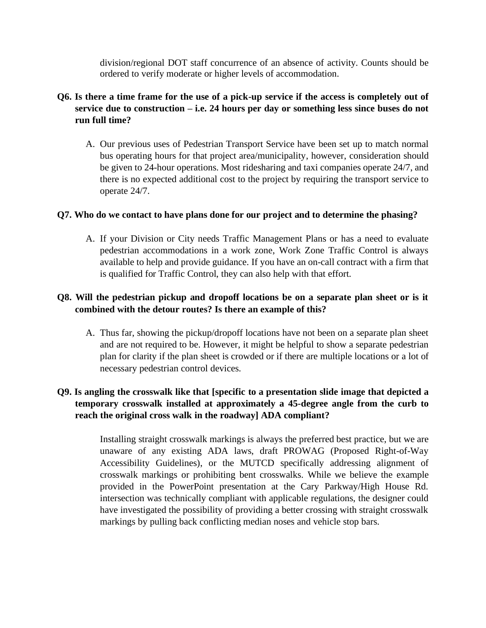division/regional DOT staff concurrence of an absence of activity. Counts should be ordered to verify moderate or higher levels of accommodation.

## **Q6. Is there a time frame for the use of a pick-up service if the access is completely out of service due to construction – i.e. 24 hours per day or something less since buses do not run full time?**

A. Our previous uses of Pedestrian Transport Service have been set up to match normal bus operating hours for that project area/municipality, however, consideration should be given to 24-hour operations. Most ridesharing and taxi companies operate 24/7, and there is no expected additional cost to the project by requiring the transport service to operate 24/7.

#### **Q7. Who do we contact to have plans done for our project and to determine the phasing?**

A. If your Division or City needs Traffic Management Plans or has a need to evaluate pedestrian accommodations in a work zone, Work Zone Traffic Control is always available to help and provide guidance. If you have an on-call contract with a firm that is qualified for Traffic Control, they can also help with that effort.

# **Q8. Will the pedestrian pickup and dropoff locations be on a separate plan sheet or is it combined with the detour routes? Is there an example of this?**

A. Thus far, showing the pickup/dropoff locations have not been on a separate plan sheet and are not required to be. However, it might be helpful to show a separate pedestrian plan for clarity if the plan sheet is crowded or if there are multiple locations or a lot of necessary pedestrian control devices.

# **Q9. Is angling the crosswalk like that [specific to a presentation slide image that depicted a temporary crosswalk installed at approximately a 45-degree angle from the curb to reach the original cross walk in the roadway] ADA compliant?**

Installing straight crosswalk markings is always the preferred best practice, but we are unaware of any existing ADA laws, draft PROWAG (Proposed Right-of-Way Accessibility Guidelines), or the MUTCD specifically addressing alignment of crosswalk markings or prohibiting bent crosswalks. While we believe the example provided in the PowerPoint presentation at the Cary Parkway/High House Rd. intersection was technically compliant with applicable regulations, the designer could have investigated the possibility of providing a better crossing with straight crosswalk markings by pulling back conflicting median noses and vehicle stop bars.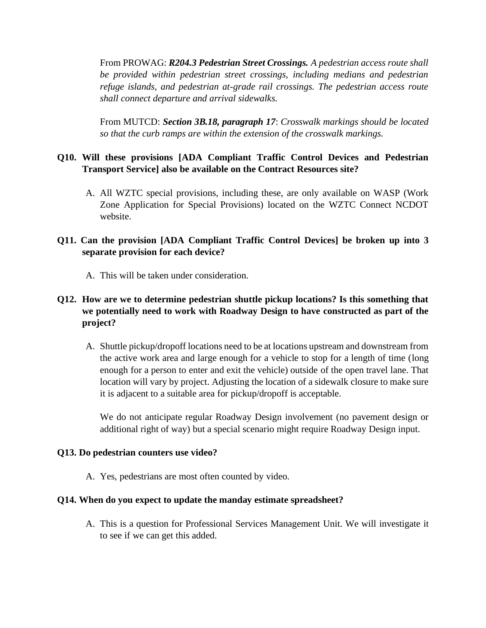From PROWAG: *R204.3 Pedestrian Street Crossings. A pedestrian access route shall be provided within pedestrian street crossings, including medians and pedestrian refuge islands, and pedestrian at-grade rail crossings. The pedestrian access route shall connect departure and arrival sidewalks.*

From MUTCD: *Section 3B.18, paragraph 17*: *Crosswalk markings should be located so that the curb ramps are within the extension of the crosswalk markings.*

# **Q10. Will these provisions [ADA Compliant Traffic Control Devices and Pedestrian Transport Service] also be available on the Contract Resources site?**

A. All WZTC special provisions, including these, are only available on WASP (Work Zone Application for Special Provisions) located on the WZTC Connect NCDOT website.

### **Q11. Can the provision [ADA Compliant Traffic Control Devices] be broken up into 3 separate provision for each device?**

A. This will be taken under consideration.

# **Q12. How are we to determine pedestrian shuttle pickup locations? Is this something that we potentially need to work with Roadway Design to have constructed as part of the project?**

A. Shuttle pickup/dropoff locations need to be at locations upstream and downstream from the active work area and large enough for a vehicle to stop for a length of time (long enough for a person to enter and exit the vehicle) outside of the open travel lane. That location will vary by project. Adjusting the location of a sidewalk closure to make sure it is adjacent to a suitable area for pickup/dropoff is acceptable.

We do not anticipate regular Roadway Design involvement (no pavement design or additional right of way) but a special scenario might require Roadway Design input.

#### **Q13. Do pedestrian counters use video?**

A. Yes, pedestrians are most often counted by video.

#### **Q14. When do you expect to update the manday estimate spreadsheet?**

A. This is a question for Professional Services Management Unit. We will investigate it to see if we can get this added.